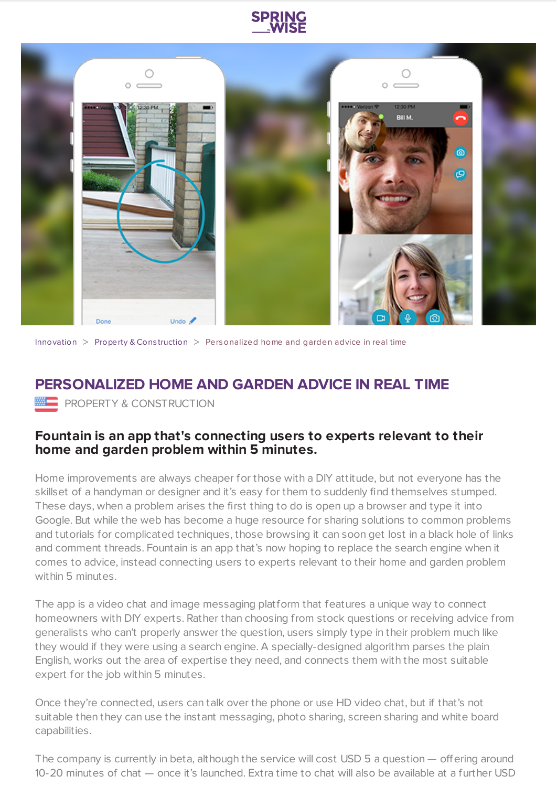



[Innovation](https://www.springwise.com/search?type=innovation)  $>$  [Property](https://www.springwise.com/search?type=innovation§or=property-and-construction) & Construction  $>$  Personalized home and garden advice in real time

## **PERSONALIZED HOME AND GARDEN ADVICE IN REAL TIME**

**PROPERTY & CONSTRUCTION** 

## **Fountain is an app that's connecting users to experts relevant to their home and garden problem within 5 minutes.**

Home improvements are always cheaper for those with a DIY attitude, but not everyone has the skillset of a handyman or designer and it's easy for them to suddenly find themselves stumped. These days, when a problem arises the first thing to do is open up a browser and type it into Google. But while the web has become a huge resource for sharing solutions to common problems and tutorials for complicated techniques, those browsing it can soon get lost in a black hole of links and comment threads. Fountain is an app that's now hoping to replace the search engine when it comes to advice, instead connecting users to experts relevant to their home and garden problem within 5 minutes.

The app is a video chat and image messaging platform that features a unique way to connect homeowners with DIY experts. Rather than choosing from stock questions or receiving advice from generalists who can't properly answer the question, users simply type in their problem much like they would if they were using a search engine. A specially-designed algorithm parses the plain English, works out the area of expertise they need, and connects them with the most suitable expert for the job within 5 minutes.

Once they're connected, users can talk over the phone or use HD video chat, but if that's not suitable then they can use the instant messaging, photo sharing, screen sharing and white board capabilities.

The company is currently in beta, although the service will cost USD 5 a question — offering around 10-20 minutes of chat — once it's launched. Extra time to chat will also be available at a further USD